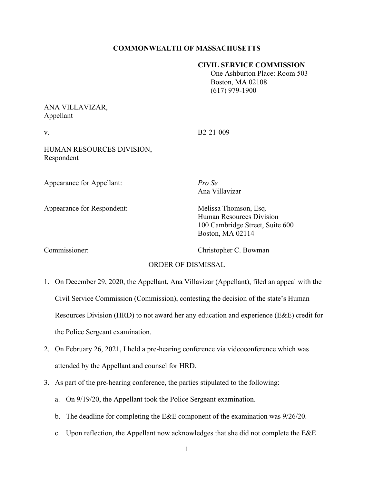# **COMMONWEALTH OF MASSACHUSETTS**

#### **CIVIL SERVICE COMMISSION**

 One Ashburton Place: Room 503 Boston, MA 02108 (617) 979-1900

# ANA VILLAVIZAR, Appellant

v. B2-21-009

HUMAN RESOURCES DIVISION, Respondent

Appearance for Appellant: *Pro Se*

Appearance for Respondent: Melissa Thomson, Esq.

Ana Villavizar

Human Resources Division 100 Cambridge Street, Suite 600 Boston, MA 02114

Commissioner: Christopher C. Bowman

# ORDER OF DISMISSAL

- 1. On December 29, 2020, the Appellant, Ana Villavizar (Appellant), filed an appeal with the Civil Service Commission (Commission), contesting the decision of the state's Human Resources Division (HRD) to not award her any education and experience (E&E) credit for the Police Sergeant examination.
- 2. On February 26, 2021, I held a pre-hearing conference via videoconference which was attended by the Appellant and counsel for HRD.
- 3. As part of the pre-hearing conference, the parties stipulated to the following:
	- a. On 9/19/20, the Appellant took the Police Sergeant examination.
	- b. The deadline for completing the E&E component of the examination was 9/26/20.
	- c. Upon reflection, the Appellant now acknowledges that she did not complete the  $E &E E$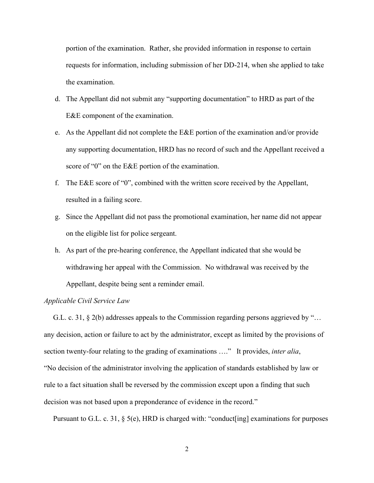portion of the examination. Rather, she provided information in response to certain requests for information, including submission of her DD-214, when she applied to take the examination.

- d. The Appellant did not submit any "supporting documentation" to HRD as part of the E&E component of the examination.
- e. As the Appellant did not complete the E&E portion of the examination and/or provide any supporting documentation, HRD has no record of such and the Appellant received a score of "0" on the E&E portion of the examination.
- f. The E&E score of "0", combined with the written score received by the Appellant, resulted in a failing score.
- g. Since the Appellant did not pass the promotional examination, her name did not appear on the eligible list for police sergeant.
- h. As part of the pre-hearing conference, the Appellant indicated that she would be withdrawing her appeal with the Commission. No withdrawal was received by the Appellant, despite being sent a reminder email.

#### *Applicable Civil Service Law*

 G.L. c. 31, § 2(b) addresses appeals to the Commission regarding persons aggrieved by "… any decision, action or failure to act by the administrator, except as limited by the provisions of section twenty-four relating to the grading of examinations …." It provides, *inter alia*, "No decision of the administrator involving the application of standards established by law or rule to a fact situation shall be reversed by the commission except upon a finding that such decision was not based upon a preponderance of evidence in the record."

Pursuant to G.L. c. 31, § 5(e), HRD is charged with: "conduct[ing] examinations for purposes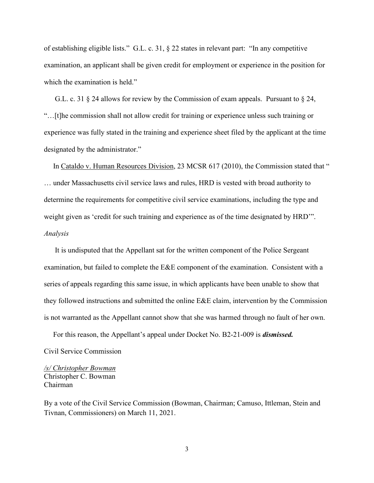of establishing eligible lists." G.L. c. 31, § 22 states in relevant part: "In any competitive examination, an applicant shall be given credit for employment or experience in the position for which the examination is held."

 G.L. c. 31 § 24 allows for review by the Commission of exam appeals. Pursuant to § 24, "…[t]he commission shall not allow credit for training or experience unless such training or experience was fully stated in the training and experience sheet filed by the applicant at the time designated by the administrator."

 In Cataldo v. Human Resources Division, 23 MCSR 617 (2010), the Commission stated that " … under Massachusetts civil service laws and rules, HRD is vested with broad authority to determine the requirements for competitive civil service examinations, including the type and weight given as 'credit for such training and experience as of the time designated by HRD'". *Analysis*

 It is undisputed that the Appellant sat for the written component of the Police Sergeant examination, but failed to complete the E&E component of the examination. Consistent with a series of appeals regarding this same issue, in which applicants have been unable to show that they followed instructions and submitted the online E&E claim, intervention by the Commission is not warranted as the Appellant cannot show that she was harmed through no fault of her own.

For this reason, the Appellant's appeal under Docket No. B2-21-009 is *dismissed.*

Civil Service Commission

*/s/ Christopher Bowman* Christopher C. Bowman Chairman

By a vote of the Civil Service Commission (Bowman, Chairman; Camuso, Ittleman, Stein and Tivnan, Commissioners) on March 11, 2021.

3